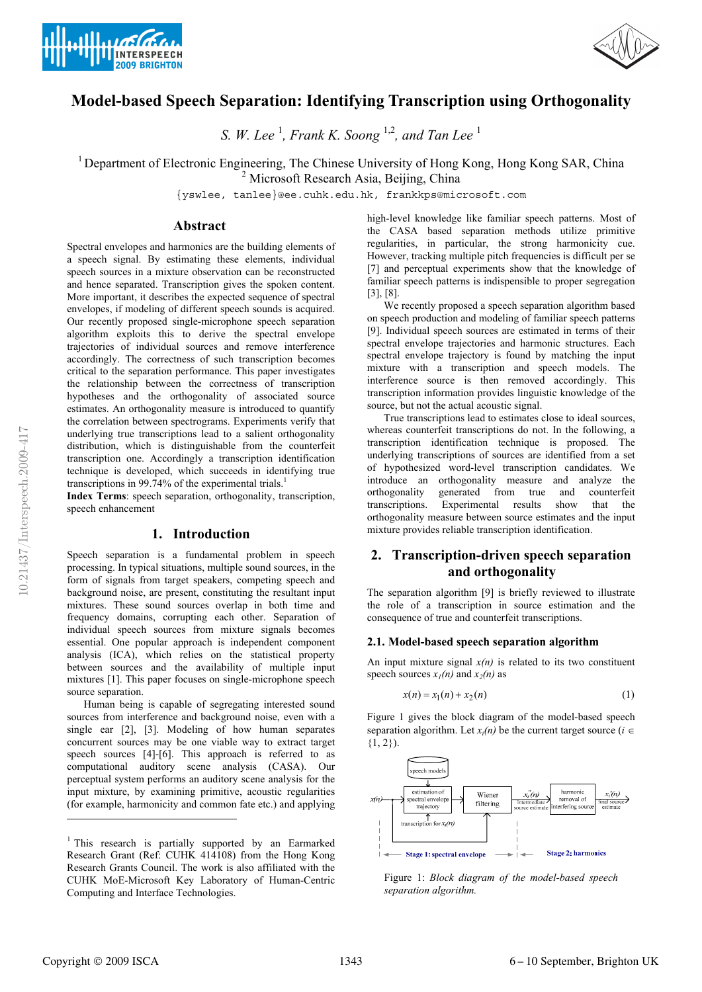



# **Model-based Speech Separation: Identifying Transcription using Orthogonality**

*S. W. Lee* <sup>1</sup> *, Frank K. Soong* 1,2*, and Tan Lee* <sup>1</sup>

<sup>1</sup> Department of Electronic Engineering, The Chinese University of Hong Kong, Hong Kong SAR, China <sup>2</sup> Microsoft Research Asia, Beijing, China

{yswlee, tanlee}@ee.cuhk.edu.hk, frankkps@microsoft.com

## **Abstract**

Spectral envelopes and harmonics are the building elements of a speech signal. By estimating these elements, individual speech sources in a mixture observation can be reconstructed and hence separated. Transcription gives the spoken content. More important, it describes the expected sequence of spectral envelopes, if modeling of different speech sounds is acquired. Our recently proposed single-microphone speech separation algorithm exploits this to derive the spectral envelope trajectories of individual sources and remove interference accordingly. The correctness of such transcription becomes critical to the separation performance. This paper investigates the relationship between the correctness of transcription hypotheses and the orthogonality of associated source estimates. An orthogonality measure is introduced to quantify the correlation between spectrograms. Experiments verify that underlying true transcriptions lead to a salient orthogonality distribution, which is distinguishable from the counterfeit transcription one. Accordingly a transcription identification technique is developed, which succeeds in identifying true transcriptions in 99.74% of the experimental trials.<sup>1</sup>

**Index Terms**: speech separation, orthogonality, transcription, speech enhancement

## **1. Introduction**

Speech separation is a fundamental problem in speech processing. In typical situations, multiple sound sources, in the form of signals from target speakers, competing speech and background noise, are present, constituting the resultant input mixtures. These sound sources overlap in both time and frequency domains, corrupting each other. Separation of individual speech sources from mixture signals becomes essential. One popular approach is independent component analysis (ICA), which relies on the statistical property between sources and the availability of multiple input mixtures [1]. This paper focuses on single-microphone speech source separation.

Human being is capable of segregating interested sound sources from interference and background noise, even with a single ear [2], [3]. Modeling of how human separates concurrent sources may be one viable way to extract target speech sources [4]-[6]. This approach is referred to as computational auditory scene analysis (CASA). Our perceptual system performs an auditory scene analysis for the input mixture, by examining primitive, acoustic regularities (for example, harmonicity and common fate etc.) and applying

high-level knowledge like familiar speech patterns. Most of the CASA based separation methods utilize primitive regularities, in particular, the strong harmonicity cue. However, tracking multiple pitch frequencies is difficult per se [7] and perceptual experiments show that the knowledge of familiar speech patterns is indispensible to proper segregation [3], [8].

We recently proposed a speech separation algorithm based on speech production and modeling of familiar speech patterns [9]. Individual speech sources are estimated in terms of their spectral envelope trajectories and harmonic structures. Each spectral envelope trajectory is found by matching the input mixture with a transcription and speech models. The interference source is then removed accordingly. This transcription information provides linguistic knowledge of the source, but not the actual acoustic signal.

True transcriptions lead to estimates close to ideal sources, whereas counterfeit transcriptions do not. In the following, a transcription identification technique is proposed. The underlying transcriptions of sources are identified from a set of hypothesized word-level transcription candidates. We introduce an orthogonality measure and analyze the orthogonality generated from true and counterfeit transcriptions. Experimental results show that the orthogonality measure between source estimates and the input mixture provides reliable transcription identification.

# **2. Transcription-driven speech separation and orthogonality**

The separation algorithm [9] is briefly reviewed to illustrate the role of a transcription in source estimation and the consequence of true and counterfeit transcriptions.

#### **2.1. Model-based speech separation algorithm**

An input mixture signal  $x(n)$  is related to its two constituent speech sources  $x_1(n)$  and  $x_2(n)$  as

$$
x(n) = x_1(n) + x_2(n)
$$
 (1)

Figure 1 gives the block diagram of the model-based speech separation algorithm. Let *x<sub>i</sub>(n)* be the current target source ( $i \in$  ${1, 2}$ .



Figure 1: *Block diagram of the model-based speech separation algorithm.* 

 $\overline{a}$ 

<sup>&</sup>lt;sup>1</sup> This research is partially supported by an Earmarked Research Grant (Ref: CUHK 414108) from the Hong Kong Research Grants Council. The work is also affiliated with the CUHK MoE-Microsoft Key Laboratory of Human-Centric Computing and Interface Technologies.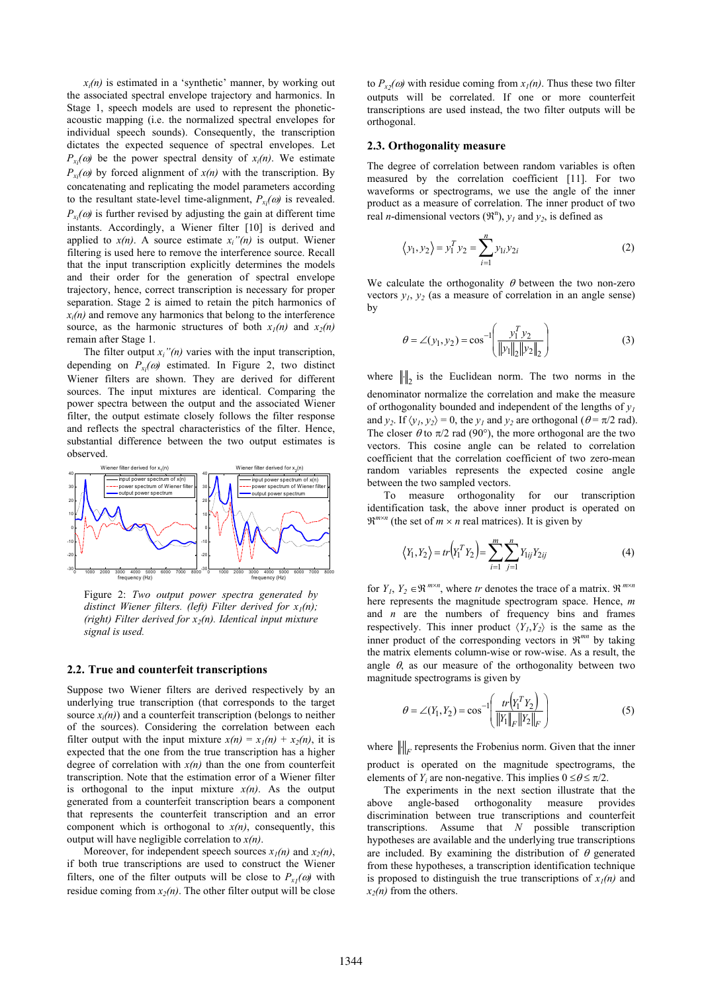$x_i(n)$  is estimated in a 'synthetic' manner, by working out the associated spectral envelope trajectory and harmonics. In Stage 1, speech models are used to represent the phoneticacoustic mapping (i.e. the normalized spectral envelopes for individual speech sounds). Consequently, the transcription dictates the expected sequence of spectral envelopes. Let  $P_{x_i}(\omega)$  be the power spectral density of  $x_i(n)$ . We estimate  $P_{x_i}(\omega)$  by forced alignment of  $x(n)$  with the transcription. By concatenating and replicating the model parameters according to the resultant state-level time-alignment,  $P_{x_i}(\omega)$  is revealed.  $P_{x_i}(\omega)$  is further revised by adjusting the gain at different time instants. Accordingly, a Wiener filter [10] is derived and applied to  $x(n)$ . A source estimate  $x_i''(n)$  is output. Wiener filtering is used here to remove the interference source. Recall that the input transcription explicitly determines the models and their order for the generation of spectral envelope trajectory, hence, correct transcription is necessary for proper separation. Stage 2 is aimed to retain the pitch harmonics of  $x_i(n)$  and remove any harmonics that belong to the interference source, as the harmonic structures of both  $x_1(n)$  and  $x_2(n)$ remain after Stage 1.

The filter output  $x_i''(n)$  varies with the input transcription, depending on  $P_{x_i}(\omega)$  estimated. In Figure 2, two distinct Wiener filters are shown. They are derived for different sources. The input mixtures are identical. Comparing the power spectra between the output and the associated Wiener filter, the output estimate closely follows the filter response and reflects the spectral characteristics of the filter. Hence, substantial difference between the two output estimates is observed.



Figure 2: *Two output power spectra generated by*  distinct Wiener filters. (left) Filter derived for  $x_1(n)$ ; *(right) Filter derived for*  $x_2(n)$ *. Identical input mixture signal is used.* 

#### **2.2. True and counterfeit transcriptions**

Suppose two Wiener filters are derived respectively by an underlying true transcription (that corresponds to the target source  $x_i(n)$  and a counterfeit transcription (belongs to neither of the sources). Considering the correlation between each filter output with the input mixture  $x(n) = x_1(n) + x_2(n)$ , it is expected that the one from the true transcription has a higher degree of correlation with  $x(n)$  than the one from counterfeit transcription. Note that the estimation error of a Wiener filter is orthogonal to the input mixture  $x(n)$ . As the output generated from a counterfeit transcription bears a component that represents the counterfeit transcription and an error component which is orthogonal to *x(n)*, consequently, this output will have negligible correlation to *x(n)*.

Moreover, for independent speech sources  $x_1(n)$  and  $x_2(n)$ , if both true transcriptions are used to construct the Wiener filters, one of the filter outputs will be close to  $P_{x1}(ω)$  with residue coming from  $x_2(n)$ . The other filter output will be close to  $P_{x2}(\omega)$  with residue coming from  $x_1(n)$ . Thus these two filter outputs will be correlated. If one or more counterfeit transcriptions are used instead, the two filter outputs will be orthogonal.

#### **2.3. Orthogonality measure**

The degree of correlation between random variables is often measured by the correlation coefficient [11]. For two waveforms or spectrograms, we use the angle of the inner product as a measure of correlation. The inner product of two real *n*-dimensional vectors  $(\mathbb{R}^n)$ ,  $y_l$  and  $y_2$ , is defined as

$$
\langle y_1, y_2 \rangle = y_1^T y_2 = \sum_{i=1}^n y_{1i} y_{2i}
$$
 (2)

We calculate the orthogonality  $\theta$  between the two non-zero vectors  $y_1$ ,  $y_2$  (as a measure of correlation in an angle sense) by

$$
\theta = \angle(y_1, y_2) = \cos^{-1}\left(\frac{y_1^T y_2}{\|y_1\|_2 \|y_2\|_2}\right) \tag{3}
$$

where  $\|\cdot\|_2$  is the Euclidean norm. The two norms in the denominator normalize the correlation and make the measure of orthogonality bounded and independent of the lengths of  $y_1$ and  $y_2$ . If  $\langle y_1, y_2 \rangle = 0$ , the  $y_1$  and  $y_2$  are orthogonal ( $\theta = \pi/2$  rad). The closer  $\theta$  to  $\pi/2$  rad (90°), the more orthogonal are the two vectors. This cosine angle can be related to correlation coefficient that the correlation coefficient of two zero-mean random variables represents the expected cosine angle between the two sampled vectors.

To measure orthogonality for our transcription identification task, the above inner product is operated on  $\mathbb{R}^{m \times n}$  (the set of  $m \times n$  real matrices). It is given by

$$
\langle Y_1, Y_2 \rangle = tr \Big( Y_1^T Y_2 \Big) = \sum_{i=1}^m \sum_{j=1}^n Y_{1ij} Y_{2ij}
$$
 (4)

for  $Y_1, Y_2 \in \mathbb{R}^{m \times n}$ , where *tr* denotes the trace of a matrix.  $\mathbb{R}^{m \times n}$ here represents the magnitude spectrogram space. Hence, *m* and *n* are the numbers of frequency bins and frames respectively. This inner product  $\langle Y_1, Y_2 \rangle$  is the same as the inner product of the corresponding vectors in  $\mathbb{R}^{mn}$  by taking the matrix elements column-wise or row-wise. As a result, the angle  $\theta$ , as our measure of the orthogonality between two magnitude spectrograms is given by

$$
\theta = \angle(Y_1, Y_2) = \cos^{-1}\left(\frac{tr(Y_1^T Y_2)}{\|Y_1\|_F \|Y_2\|_F}\right) \tag{5}
$$

where  $\left\| \cdot \right\|_F$  represents the Frobenius norm. Given that the inner product is operated on the magnitude spectrograms, the elements of  $Y_i$  are non-negative. This implies  $0 \le \theta \le \pi/2$ .

The experiments in the next section illustrate that the above angle-based orthogonality measure provides discrimination between true transcriptions and counterfeit transcriptions. Assume that *N* possible transcription hypotheses are available and the underlying true transcriptions are included. By examining the distribution of  $\theta$  generated from these hypotheses, a transcription identification technique is proposed to distinguish the true transcriptions of  $x_1(n)$  and  $x_2(n)$  from the others.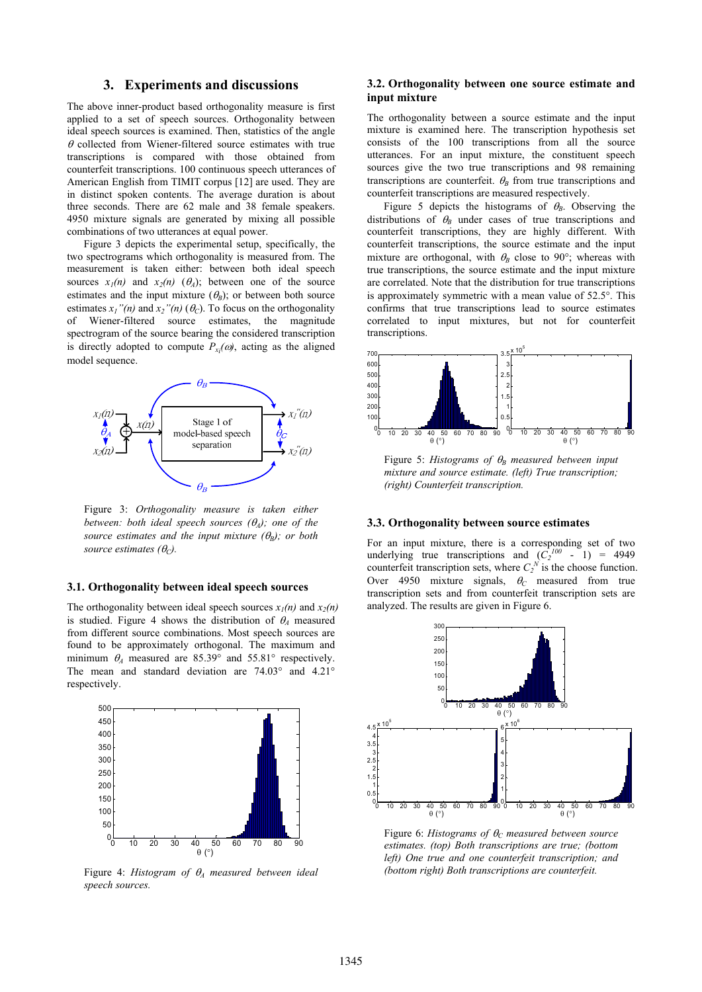## **3. Experiments and discussions**

The above inner-product based orthogonality measure is first applied to a set of speech sources. Orthogonality between ideal speech sources is examined. Then, statistics of the angle  $\theta$  collected from Wiener-filtered source estimates with true transcriptions is compared with those obtained from counterfeit transcriptions. 100 continuous speech utterances of American English from TIMIT corpus [12] are used. They are in distinct spoken contents. The average duration is about three seconds. There are 62 male and 38 female speakers. 4950 mixture signals are generated by mixing all possible combinations of two utterances at equal power.

Figure 3 depicts the experimental setup, specifically, the two spectrograms which orthogonality is measured from. The measurement is taken either: between both ideal speech sources  $x_1(n)$  and  $x_2(n)$  ( $\theta_4$ ); between one of the source estimates and the input mixture  $(\theta_R)$ ; or between both source estimates  $x_1$ "(n) and  $x_2$ "(n) ( $\theta_c$ ). To focus on the orthogonality of Wiener-filtered source estimates, the magnitude spectrogram of the source bearing the considered transcription is directly adopted to compute  $P_{x_i}(\omega)$ , acting as the aligned model sequence.



Figure 3: *Orthogonality measure is taken either between: both ideal speech sources*  $(\theta_4)$ *; one of the source estimates and the input mixture*  $(\theta_R)$ *; or both source estimates (* $\theta_c$ *).* 

#### **3.1. Orthogonality between ideal speech sources**

The orthogonality between ideal speech sources  $x_1(n)$  and  $x_2(n)$ is studied. Figure 4 shows the distribution of  $\theta_A$  measured from different source combinations. Most speech sources are found to be approximately orthogonal. The maximum and minimum  $\theta_4$  measured are 85.39° and 55.81° respectively. The mean and standard deviation are 74.03° and 4.21° respectively.



Figure 4: *Histogram of* θ*A measured between ideal speech sources.* 

## **3.2. Orthogonality between one source estimate and input mixture**

The orthogonality between a source estimate and the input mixture is examined here. The transcription hypothesis set consists of the 100 transcriptions from all the source utterances. For an input mixture, the constituent speech sources give the two true transcriptions and 98 remaining transcriptions are counterfeit.  $\theta_B$  from true transcriptions and counterfeit transcriptions are measured respectively.

Figure 5 depicts the histograms of  $\theta_B$ . Observing the distributions of  $\theta_B$  under cases of true transcriptions and counterfeit transcriptions, they are highly different. With counterfeit transcriptions, the source estimate and the input mixture are orthogonal, with  $\theta_B$  close to 90°; whereas with true transcriptions, the source estimate and the input mixture are correlated. Note that the distribution for true transcriptions is approximately symmetric with a mean value of 52.5°. This confirms that true transcriptions lead to source estimates correlated to input mixtures, but not for counterfeit transcriptions.



Figure 5: *Histograms of* θ*B measured between input mixture and source estimate. (left) True transcription; (right) Counterfeit transcription.* 

#### **3.3. Orthogonality between source estimates**

For an input mixture, there is a corresponding set of two underlying true transcriptions and  $(C_2^{100} - 1) = 4949$ counterfeit transcription sets, where  $C_2^N$  is the choose function. Over 4950 mixture signals,  $\theta_c$  measured from true transcription sets and from counterfeit transcription sets are analyzed. The results are given in Figure 6.



Figure 6: *Histograms of* θ*C measured between source estimates. (top) Both transcriptions are true; (bottom left) One true and one counterfeit transcription; and (bottom right) Both transcriptions are counterfeit.*